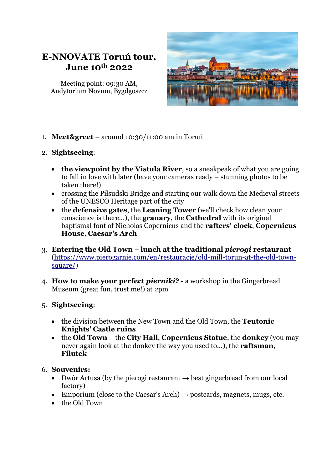

Meeting point: 09:30 AM, Audytorium Novum, Bygdgoszcz



- 1. **Meet&greet**  around 10:30/11:00 am in Toruń
- 2. **Sightseeing**:
	- **the viewpoint by the Vistula River**, so a sneakpeak of what you are going to fall in love with later (have your cameras ready – stunning photos to be taken there!)
	- crossing the Piłsudski Bridge and starting our walk down the Medieval streets of the UNESCO Heritage part of the city
	- the **defensive gates**, the **Leaning Tower** (we'll check how clean your conscience is there...), the **granary**, the **Cathedral** with its original baptismal font of Nicholas Copernicus and the **rafters' clock**, **Copernicus House**, **Caesar's Arch**
- 3. **Entering the Old Town lunch at the traditional** *pierogi* **restaurant** [\(https://www.pierogarnie.com/en/restauracje/old-mill-torun-at-the-old-town](https://www.pierogarnie.com/en/restauracje/old-mill-torun-at-the-old-town-square/)[square/\)](https://www.pierogarnie.com/en/restauracje/old-mill-torun-at-the-old-town-square/)
- 4. **How to make your perfect** *pierniki***?** a workshop in the Gingerbread Museum (great fun, trust me!) at 2pm

## 5. **Sightseeing**:

- the division between the New Town and the Old Town, the **Teutonic Knights' Castle ruins**
- the **Old Town** the **City Hall**, **Copernicus Statue**, the **donkey** (you may never again look at the donkey the way you used to...), the **raftsman, Filutek**

## 6. **Souvenirs:**

- Dwór Artusa (by the pierogi restaurant  $\rightarrow$  best gingerbread from our local factory)
- Emporium (close to the Caesar's Arch)  $\rightarrow$  postcards, magnets, mugs, etc.
- the Old Town